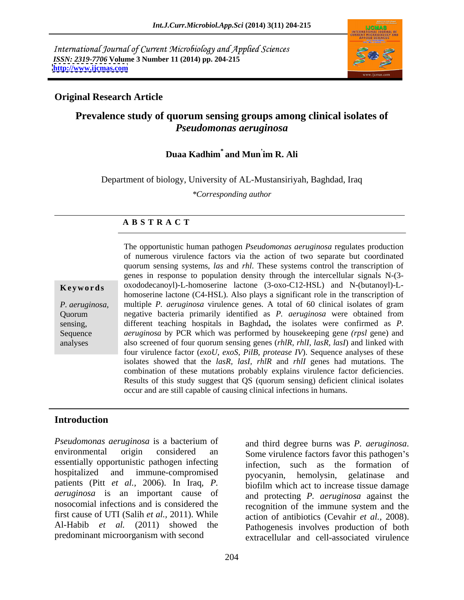International Journal of Current Microbiology and Applied Sciences *ISSN: 2319-7706* **Volume 3 Number 11 (2014) pp. 204-215 <http://www.ijcmas.com>**



# **Original Research Article**

# **Prevalence study of quorum sensing groups among clinical isolates of**  *Pseudomonas aeruginosa*

### **Duaa Kadhim\* and Mun im R. Ali**

Department of biology, University of AL-Mustansiriyah, Baghdad, Iraq

*\*Corresponding author* 

### **A B S T R A C T**

**Keywords** oxododecanoyl)-L-homoserine lactone (3-oxo-C12-HSL) and N-(butanoyl)-L-*P. aeruginosa,* multiple *P. aeruginosa* virulence genes. A total of 60 clinical isolates of gram Quorum negative bacteria primarily identified as *P. aeruginosa* were obtained from sensing, different teaching hospitals in Baghdad, the isolates were confirmed as *P*.<br>Sequence *aeruginosa* by PCR which was performed by housekeeping gene *(rpsl* gene) and analyses also screened of four quorum sensing genes (*rhlR, rhlI, lasR, lasI*) and linked with The opportunistic human pathogen *Pseudomonas aeruginosa* regulates production of numerous virulence factors via the action of two separate but coordinated quorum sensing systems, *las* and *rhl*. These systems control the transcription of genes in response to population density through the intercellular signals N-(3 homoserine lactone (C4-HSL). Also plays a significant role in the transcription of different teaching hospitals in Baghdad**,** the isolates were confirmed as *P.*  four virulence factor (*exoU*, *exoS*, *PilB*, *protease IV*). Sequence analyses of these isolates showed that the *lasR, lasI, rhlR* and *rhlI* genes had mutations. The combination of these mutations probably explains virulence factor deficiencies. Results of this study suggest that QS (quorum sensing) deficient clinical isolates occur and are still capable of causing clinical infections in humans.

## **Introduction**

*Pseudomonas aeruginosa* is a bacterium of environmental origin considered an Some virulence factors favor this pathogen's essentially opportunistic pathogen infecting infection. hospitalized and immune-compromised by <sub>procvanin</sub> hemolysin gelatinase and patients (Pitt *et al.,* 2006). In Iraq, *P. aeruginosa* is an important cause of nosocomial infections and is considered the first cause of UTI (Salih *et al.,* 2011). While action of antibiotics (Cevahir *et al.,* 2008). Al-Habib *et al.* (2011) showed the

predominant microorganism with second extracellular and cell-associated virulence and third degree burns was *P. aeruginosa*. such as the formation of pyocyanin, hemolysin, gelatinase and biofilm which act to increase tissue damage and protecting *P. aeruginosa* against the recognition of the immune system and the Pathogenesis involves production of both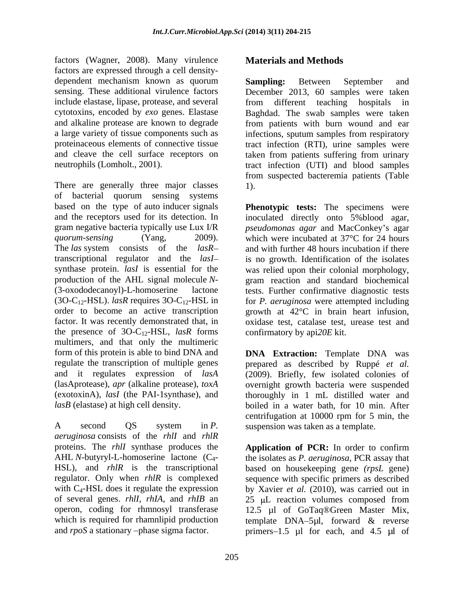factors (Wagner, 2008). Many virulence factors are expressed through a cell density dependent mechanism known as quorum **Sampling:** Between September and include elastase, lipase, protease, and several from different teaching hospitals in and cleave the cell surface receptors on

There are generally three major classes 1). of bacterial quorum sensing systems based on the type of auto inducer signals and the receptors used for its detection. In inoculated directly onto 5% blood agar, gram negative bacteria typically use Lux I/R *pseudomonas agar* and MacConkey's agar *quorum-sensing* (Yang, 2009). which were incubated at 37°C for 24 hours The *las* system consists of the *lasR*— and with further 48 hours incubation if there transcriptional regulator and the *lasI* synthase protein. *lasI* is essential for the was relied upon their colonial morphology, production of the AHL signal molecule *N*- gram reaction and standard biochemical (3-oxododecanoyl)-L-homoserine lactone tests. Further confirmative diagnostic tests (3O-C12-HSL). *lasR* requires 3O-C12-HSL in for *P. aeruginosa* were attempted including order to become an active transcription growth at 42°C in brain heart infusion, factor. It was recently demonstrated that, in oxidase test, catalase test, urease test and the presence of 3O-C12-HSL, *lasR* forms multimers, and that only the multimeric form of this protein is able to bind DNA and **DNA Extraction:** Template DNA was regulate the transcription of multiple genes prepared as described by Ruppé *et al.* and it regulates expression of *lasA* (2009). Briefly, few isolated colonies of (lasAprotease), *apr* (alkaline protease), *toxA* overnight growth bacteria were suspended (exotoxinA), *lasI* (the PAI-1synthase), and *lasB* (elastase) at high cell density. boiled in a water bath, for 10 min. After

*aeruginosa* consists of the *rhlI* and *rhlR*

# **Materials and Methods**

sensing. These additional virulence factors December 2013, 60 samples were taken cytotoxins, encoded by *exo* genes. Elastase Baghdad. The swab samples were taken and alkaline protease are known to degrade from patients with burn wound and ear a large variety of tissue components such as infections, sputum samples from respiratory proteinaceous elements of connective tissue tract infection (RTI), urine samples were neutrophils (Lomholt., 2001). tract infection (UTI) and blood samples **Sampling:** Between September and from different teaching hospitals taken from patients suffering from urinary from suspected bacteremia patients (Table 1).

> **Phenotypic tests:** The specimens were is no growth. Identification of the isolates growth at 42°C in brain heart infusion, oxidase test, catalase test, urease test and confirmatory by api*20E* kit.

A second QS system in *P*. suspension was taken as a template. thoroughly in 1 mL distilled water and centrifugation at 10000 rpm for 5 min, the suspension was taken as a template.

proteins. The *rhlI* synthase produces the **Application of PCR:** In order to confirm AHL *N*-butyryl-L-homoserine lactone (C<sub>4</sub>- the isolates as *P. aeruginosa*, PCR assay that HSL), and *rhlR* is the transcriptional based on housekeeping gene *(rpsL* gene) regulator. Only when *rhlR* is complexed sequence with specific primers as described with C<sub>4</sub>-HSL does it regulate the expression by Xavier *et al.* (2010), was carried out in of several genes. *rhlI, rhIA*, and *rhIB* an 25 µL reaction volumes composed from operon, coding for rhmnosyl transferase 12.5 µl of GoTaq®Green Master Mix, which is required for rhamnlipid production template DNA-5µl, forward & reverse and *rpoS* a stationary -phase sigma factor. primers-1.5 µl for each, and 4.5 µl of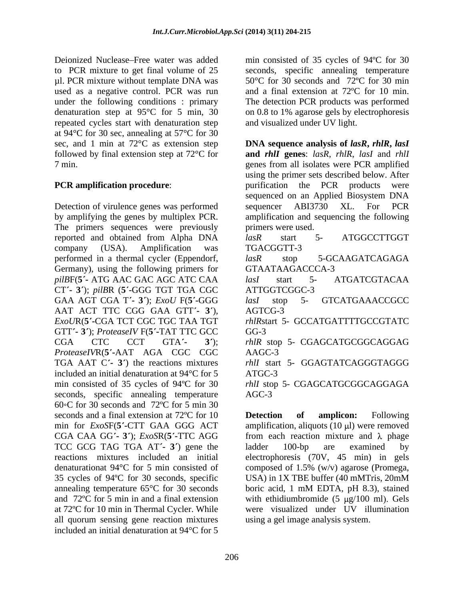Deionized Nuclease Free water was added min consisted of 35 cycles of 94ºC for 30 to PCR mixture to get final volume of 25 seconds, specific annealing temperature µl. PCR mixture without template DNA was used as a negative control. PCR was run and a final extension at 72ºC for 10 min. under the following conditions : primary The detection PCR products was performed denaturation step at 95°C for 5 min, 30 repeated cycles start with denaturation step at 94°C for 30 sec, annealing at 57°C for 30

Detection of virulence genes was performed sequencer ABI3730 XL. For PCR The primers sequences were previously reported and obtained from Alpha DNA lasR start 5- ATGGCCTTGGT performed in a thermal cycler (Eppendorf,  $lasR$  stop 5-GCAAGATCAGAGA Germany), using the following primers for GTAATAAGACCCA-3 *pilB*F(**5 -** ATG AAC GAC AGC ATC CAA CT **- 3** ); *pilB*R (**5 -**GGG TGT TGA CGC GAA AGT CGA T'- 3'); *ExoU* F(5'-GGG lasl stop 5- GTCATGAAACCGCC AAT ACT TTC CGG GAA GTT'- 3'), AGTCG-3 GTT **- 3** ); *ProteaseIV* F(**5 -**TAT TTC GCC *ProteaseIV*R(**5 -**AAT AGA CGC CGC included an initial denaturation at 94°C for 5 seconds, specific annealing temperature AGC-3 60 $\circ$ C for 30 seconds and 72 $\circ$ C for 5 min 30 seconds and a final extension at 72 °C for 10 **Detection** of **amplicion:** Following CGA CAA GG **- 3** ); *ExoS*R(**5 -**TTC AGG TCC GCG TAG TGA AT<sup>'</sup> **3**<sup> $\prime$ </sup> gene the ladder 100-bp are examined by annealing temperature  $65^{\circ}$ C for 30 seconds boric acid, 1 mM EDTA, pH 8.3), stained at 72ºC for 10 min in Thermal Cycler. While all quorum sensing gene reaction mixtures included an initial denaturation at 94°C for 5

50°C for 30 seconds and 72ºC for 30 min on 0.8 to 1% agarose gels by electrophoresis and visualized under UV light.

sec, and 1 min at 72°C as extension step **DNA sequence analysis of** *lasR***,** *rhlR***,** *lasI* followed by final extension step at 72°C for **and** *rhlI* **genes**: *lasR*, *rhlR*, *lasI* and *rhlI* 7 min. genes from all isolates were PCR amplified **PCR amplification procedure:** purification the PCR products were by amplifying the genes by multiplex PCR. <br>amplification and sequencing the following company (USA). Amplification was TGACGGTT-3 *ExoU*R(**5 -**CGA TCT CGC TGC TAA TGT *rhlR*start 5- GCCATGATTTTGCCGTATC CGA CTC CCT GTA<sup>'</sup>- 3<sup>'</sup>); *rhlR* stop 5- CGAGCATGCGGCAGGAG TGA AAT C<sup>'</sup> **3**<sup> $\prime$ </sup>) the reactions mixtures *rhlI* start 5 GGAGTATCAGGGTAGGG min consisted of 35 cycles of 94°C for 30  $r h l I$  stop 5- CGAGCATGCGGCAGGAGA using the primer sets described below. After sequenced on an Applied Biosystem DNA sequencer ABI3730 XL. For PCR primers were used. *lasR* start 5- ATGGCCTTGGT TGACGGTT-3 *lasR* stop 5-GCAAGATCAGAGA GTAATAAGACCCA-3 *lasI* start 5- ATGATCGTACAA ATTGGTCGGC-3 *lasI* stop 5- GTCATGAAACCGCC AGTCG-3 GG-3 AAGC-3 ATGC-3 AGC-3

min for *ExoS*F(5'-CTT GAA GGG ACT amplification, aliquots (10 µl) were removed reactions mixtures included an initial electrophoresis (70V, 45 min) in gels denaturationat 94°C for 5 min consisted of composed of 1.5% (w/v) agarose (Promega, 35 cycles of 94ºC for 30 seconds, specific USA) in 1X TBE buffer (40 mMTris, 20mM and  $72^{\circ}$ C for 5 min in and a final extension with ethidiumbromide (5  $\mu$ g/100 ml). Gels **Detection of amplicon:** Following from each reaction mixture and  $\lambda$  phage ladder 100-bp are examined by boric acid, 1 mM EDTA, pH 8.3), stained were visualized under UV illumination using a gel image analysis system.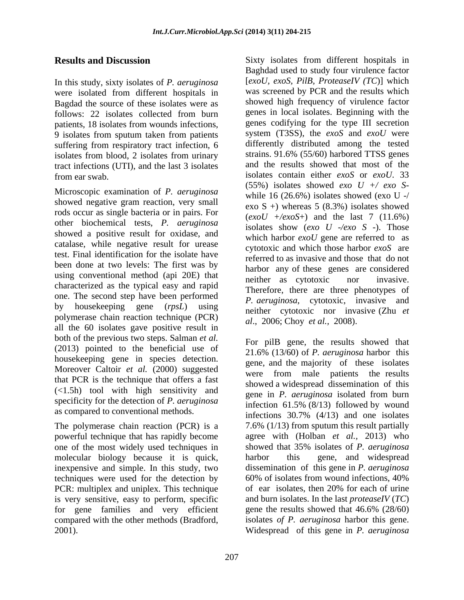In this study, sixty isolates of *P. aeruginosa* were isolated from different hospitals in Bagdad the source of these isolates were as patients, 18 isolates from wounds infections, 9 isolates from sputum taken from patients suffering from respiratory tract infection, 6 isolates from blood, 2 isolates from urinary tract infections (UTI), and the last 3 isolates

Microscopic examination of *P. aeruginosa* showed negative gram reaction, very small rods occur as single bacteria or in pairs. For other biochemical tests, *P. aeruginosa* showed a positive result for oxidase, and catalase, while negative result for urease test. Final identification for the isolate have been done at two levels: The first was by using conventional method (api 20E) that her as cytotoxic nor invasive. characterized as the typical easy and rapid<br>Therefore, there are three phenotypes of one. The second step have been performed<br> *P. aeruginosa*, cytotoxic, invasive and polymerase chain reaction technique (PCR) all the 60 isolates gave positive result in both of the previous two steps. Salman *et al.* (2013) pointed to the beneficial use of housekeeping gene in species detection. Moreover Caltoir *et al.* (2000) suggested that PCR is the technique that offers a fast (<1.5h) tool with high sensitivity and specificity for the detection of *P. aeruginosa* as compared to conventional methods.

The polymerase chain reaction (PCR) is a powerful technique that has rapidly become one of the most widely used techniques in techniques were used for the detection by 60% of isolates from wound infections, 40% PCR: multiplex and uniplex. This technique of ear isolates, then 20% for each of urine is very sensitive, easy to perform, specific and burn isolates. In the last *proteaseIV* ( $TC$ ) for gene families and very efficient gene the results showed that  $46.6\%$  ( $28/60$ ) for gene families and very efficient compared with the other methods (Bradford, 2001). Widespread of this gene in *P. aeruginosa*

**Results and Discussion** Sixty isolates from different hospitals in follows: 22 isolates collected from burn genes in local isolates. Beginning with the from ear swab. isolates contain either *exoS* or *exoU*. 33 by housekeeping gene (*rpsL*) using neither cytotoxic nor invasive (Zhu *et*  $\sqrt{DSD}$ ) Baghdad used to study four virulence factor [*exoU, exoS, PilB, ProteaseIV (TC*)] which was screened by PCR and the results which showed high frequency of virulence factor genes in local isolates. Beginning with the genes codifying for the type III secretion system (T3SS), the *exoS* and *exoU* were differently distributed among the tested strains. 91.6% (55/60) harbored TTSS genes and the results showed that most of the (55%) isolates showed *exo U +/ exo S* while 16  $(26.6\%)$  isolates showed (exo U -/ exo  $S +$ ) whereas 5 (8.3%) isolates showed  $(exoU + /exoS+)$  and the last 7  $(11.6\%)$ isolates show (*exo U -/exo S* -). Those which harbor *exoU* gene are referred to as cytotoxic and which those harbor *exoS* are referred to as invasive and those that do not harbor any of these genes are considered neither as cytotoxic nor invasive. Therefore, there are three phenotypes of *P. aeruginosa*, cytotoxic, invasive and *al*., 2006; Choy *et al.,* 2008).

molecular biology because it is quick, harbor this gene, and widespread inexpensive and simple. In this study, two dissemination of this gene in *P. aeruginosa* For pilB gene, the results showed that 21.6% (13/60) of *P. aeruginosa* harbor this gene, and the majority of these isolates were from male patients the results showed a widespread dissemination of this gene in *P. aeruginosa* isolated from burn infection 61.5% (8/13) followed by wound infections 30.7% (4/13) and one isolates 7.6% (1/13) from sputum this result partially agree with (Holban *et al.,* 2013) who showed that 35% isolates of *P. aeruginosa* harbor this gene, and widespread dissemination of this gene in *P. aeruginosa* 60% of isolates from wound infections, 40% of ear isolates, then 20% for each of urine and burn isolates. In the last *proteaseIV* (*TC*) gene the results showed that 46.6% (28/60) isolates *of P. aeruginosa* harbor this gene.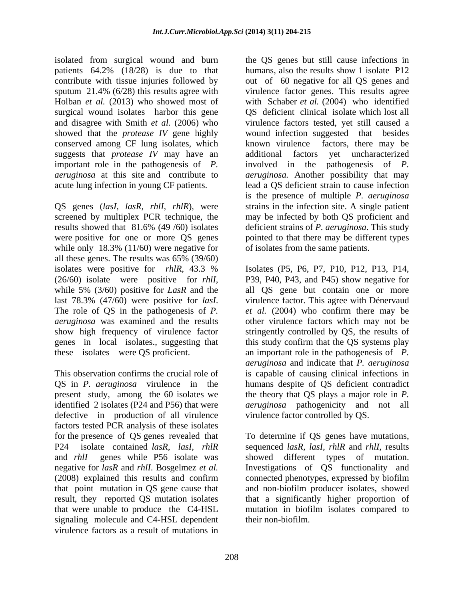isolated from surgical wound and burn patients 64.2% (18/28) is due to that contribute with tissue injuries followed by surgical wound isolates harbor this gene conserved among CF lung isolates, which suggests that *protease IV* may have an additional factors yet uncharacterized

QS genes (*lasI, lasR, rhlI, rhlR*), were screened by multiplex PCR technique, the while only 18.3% (11/60) were negative for all these genes. The results was  $65\%$   $(39/60)$ The role of QS in the pathogenesis of *P.*

defective in production of all virulence factors tested PCR analysis of these isolates for the presence of QS genes revealed that signaling molecule and C4-HSL dependent virulence factors as a result of mutations in

sputum 21.4% (6/28) this results agree with virulence factor genes. This results agree Holban *et al.* (2013) who showed most of with Schaber *et al.* (2004) who identified and disagree with Smith *et al.* (2006) who virulence factors tested, yet still caused a showed that the *protease IV* gene highly wound infection suggested that besides important role in the pathogenesis of *P.* involved in the pathogenesis of *P. aeruginosa* at this site and contribute to *aeruginosa.* Another possibility that may acute lung infection in young CF patients. lead a QS deficient strain to cause infection results showed that 81.6% (49 /60) isolates deficient strains of *P. aeruginosa*. This study were positive for one or more QS genes pointed to that there may be different types the QS genes but still cause infections in humans, also the results show 1 isolate P12 out of 60 negative for all QS genes and QS deficient clinical isolate which lost all known virulence factors, there may be additional factors yet uncharacterized is the presence of multiple *P. aeruginosa* strains in the infection site. A single patient may be infected by both QS proficient and of isolates from the same patients.

isolates were positive for *rhlR*, 43.3 % (26/60) isolate were positive for *rhlI*, while 5% (3/60) positive for *LasR* and the last 78.3% (47/60) were positive for *lasI*. virulence factor. This agree with Dénervaud *aeruginosa* was examined and the results other virulence factors which may not be show high frequency of virulence factor stringently controlled by QS, the results of genes in local isolates., suggesting that this study confirm that the QS systems play these isolates were QS proficient. an important role in the pathogenesis of *P.* This observation confirms the crucial role of is capable of causing clinical infections in QS in *P. aeruginosa* virulence in the humans despite of QS deficient contradict present study, among the 60 isolates we the theory that QS plays a major role in *P.* identified 2 isolates (P24 and P56) that were *aeruginosa* pathogenicity and not all Isolates (P5, P6, P7, P10, P12, P13, P14, P39, P40, P43, and P45) show negative for all QS gene but contain one or more *et al.* (2004) who confirm there may be *aeruginosa* and indicate that *P. aeruginosa* virulence factor controlled by QS.

P24 isolate contained *lasR*, *lasI*, *rhlR* sequenced *lasR*, *lasI*, *rhlR* and *rhlI*, results and *rhlI* genes while P56 isolate was showed different types of mutation. negative for *lasR* and *rhlI*. Bosgelmez *et al.* Investigations of QS functionality and (2008) explained this results and confirm connected phenotypes, expressed by biofilm that point mutation in QS gene cause that and non-biofilm producer isolates, showed result, they reported QS mutation isolates that a significantly higher proportion of that were unable to produce the C4-HSL mutation in biofilm isolates compared to To determine if QS genes have mutations, sequenced *lasR, lasI, rhlR* and *rhlI*, results showed different types of mutation. their non-biofilm.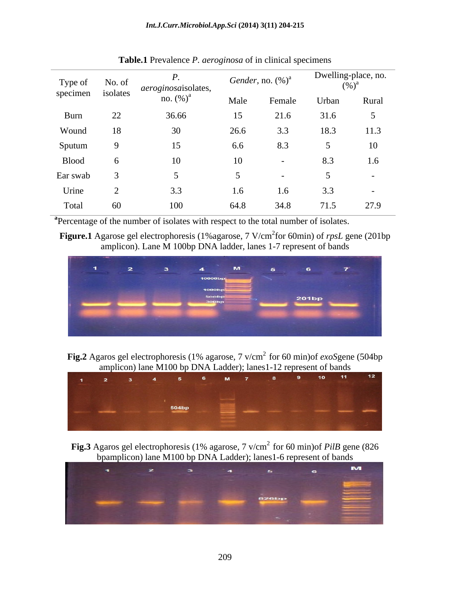| Type of<br>specimen isolates | No. of | aeroginosaisolates,<br>no. $(\%)^a$ | Gender, no. $(\%)^a$ |        | Dwelling-place, no.<br>$(%)^a$ |        |
|------------------------------|--------|-------------------------------------|----------------------|--------|--------------------------------|--------|
|                              |        |                                     | Male                 | Female | Urban                          | Rural  |
| Burn                         | 22     | 36.66                               | 15                   | 21.6   | 31.6                           |        |
| Wound                        | 18     | 30                                  | 26.6                 | 3.3    | 18.3                           | 11.3   |
| Sputum                       |        | 15                                  | 6.6                  | 8.3    |                                | 10     |
| <b>Blood</b>                 |        | 10                                  | 10                   | $\sim$ | 8.3                            | 1.6    |
| Ear swab                     |        |                                     |                      |        |                                | $\sim$ |
| Urine                        |        | ن.ر                                 | 1.6                  | 1.6    | 3.3                            |        |
| Total                        | 60     | 100                                 | 64.8                 | 34.8   | 71.5                           | 27.9   |

**Table.1** Prevalence *P. aeroginosa* of in clinical specimens

**<sup>a</sup>**Percentage of the number of isolates with respect to the total number of isolates.

**Figure.1** Agarose gel electrophoresis (1%agarose, 7 V/cm<sup>2</sup>for 60min) of *rpsL* gene (201bp amplicon). Lane M 100bp DNA ladder, lanes 1-7 represent of bands



**Fig.2** Agaros gel electrophoresis (1% agarose, 7 v/cm2 for 60 min)of *exoS*gene (504bp amplicon) lane M100 bp DNA Ladder); lanes1-12 represent of bands



**Fig.3** Agaros gel electrophoresis (1% agarose, 7 v/cm<sup>2</sup> for 60 min)of *PilB* gene (826) bpamplicon) lane M100 bp DNA Ladder); lanes1-6 represent of bands

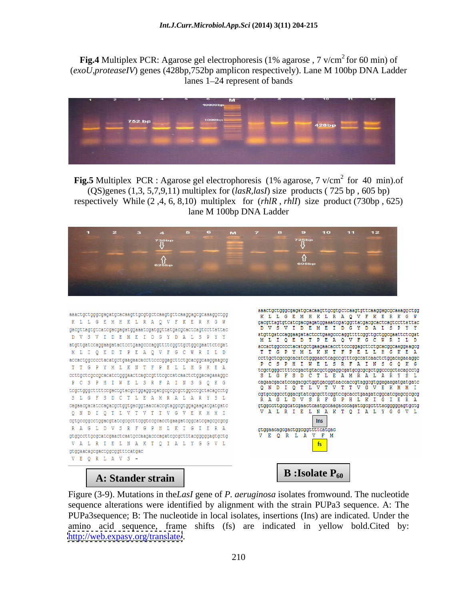**Fig.4** Multiplex PCR: Agarose gel electrophoresis (1% agarose, 7 v/cm<sup>2</sup> for 60 min) of (*exoU,proteaseIV*) genes (428bp,752bp amplicon respectively). Lane M 100bp DNA Ladder lanes 1–24 represent of bands



**Fig.5** Multiplex PCR : Agarose gel electrophoresis (1% agarose, 7 v/cm<sup>2</sup> for 40 min).of (QS)genes (1,3, 5,7,9,11) multiplex for (*lasR,lasI*) size products ( 725 bp , 605 bp) respectively While (2 ,4, 6, 8,10) multiplex for (*rhlR , rhlI*) size product (730bp , 625) lane M 100bp DNA Ladder



aaactgctgggcgagatgcacaagttgcgtgctcaagtgttcaaggagcgcaaaggctgg K L L G E M H K L R A Q V F K E R K G W  $\verb§gacgttagt@tccatcgacggagtggaaatcgatggttatgaagcaactcagtccottattac.$ D V S V I D E M E I D G Y D A L S P Y Y atgttgatccaggaagatactcctgaagcccaggttttcggttgctggcgaattctcgat M L I Q E D T P E A Q V F G C W R I L D accactggcccctacatgctgaagaacaccttcccggagcttctgcacggcaaggaagcg T T G P Y M L K N T F P E L L H G K E A  $\verb|cottgctcgccgcacatctgggaactcagccytttcgccataactctggacagaaaaggc|\\$ P C S P H I W E L S R F A I N S G Q K G S L G F S D C T L E A M R A L A R Y S L cagaacgacatccagacgctggtgacggtaaccaccgtaggcgtggagaagatgatgatc Q N D I Q T L V T V T T V G V E K M M I RAGLDVSRFGPHLKIGIERA gtggccttgcgcatcgaactcaatgccaagacccagatcgcgctttacgggggagtgctg VALRIELNAKTQIALYGGVL gtggaacagcgactggcggtttcatgac VEQRLAVS-

aaactgctgggcgagatgcacaagttgcgtgctcaagtgttcaaggagcgcaaaggctgg K L L G E M H K L R A O V F K E R K G W  $\verb§gacgttagt@cctcgacggatggaaacgaattgatggtdtgacgcactcagtccttattac$ D V S V I D E M E I D G Y D A L S P Y Y  ${\tt atgttgatccaggaaqatactcctgaagcccaggttttcggttgctggcgaattctcgaat$ M L I Q E D T P E A Q V F G C W R I L Ð accactggcccctacatgctgaagaacaccttcccggagcttctgcacggcaaggaagcg TTGPYMLKNTFP ELL HGK E.  ${\tt ccttgctcgccgcacatctgggaactcagccgtttcgccatcaactctggacagaaaggc}$ P C S P H I W E L S R F A I N S G Q K G  ${\tt tcgctgggcttttccgactgtacgctggagcgatgcggcgcdcdggcccgctacagcctg$ S L G F S D C T L E A M R A L A R Y S L  $\verb|cagaacqacataccaqacqctqgtqqcdqcaqtaacacaccytagcgqqgaqaaqatqatqacc  
Q N D I Q T L V T V T V G V E K M M I\\$ cgtgccggcctggacgtatcgcgcttcggtccgcacctgaagatcggcatcgagcgcgcg RAGLDVSRFGPHLKIGIERA gtggccttgcgcatcgaactcaatgccaagacccagatcgcgctttacgggggagtgctg VALRIELNAKTOIALYGGVL Ins  $\verb|gtggaacagcgactggcggtittcatgac|$ V E Q R L A V F M fs

Figure (3-9). Mutations in the*LasI* gene of *P. aeruginosa* isolates fromwound. The nucleotide sequence alterations were identified by alignment with the strain PUPa3 sequence. A: The PUPa3sequence; B: The nucleotide in local isolates, insertions (Ins) are indicated. Under the amino acid sequence, frame shifts (fs) are indicated in yellow bold.Cited by: **A: Stander strain**<br>Figure (3-9). Mutations in the Lasl gene of *P. aeruginosa* isolates from wound. The nucleotide<br>sequence alterations were identified by alignment with the strain PUPa3 sequence. A: The<br>PUPa3sequence; B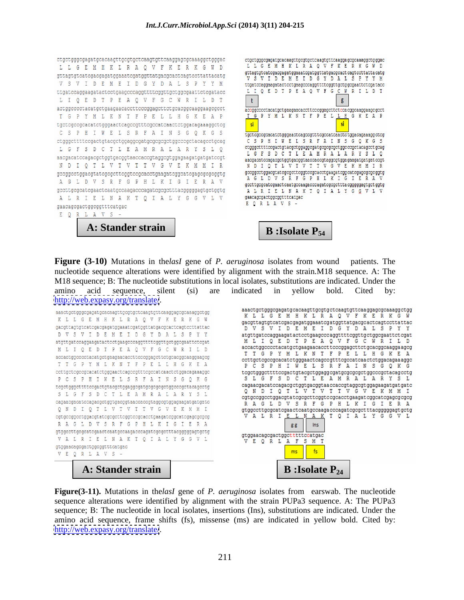```
ctgctgggcgagatgcacaagttgcgtgctcaagtgttcaaggagcgcaaaggctgggac
L L G E M H K L R A Q V F K E R K G W D
gttagtgtcatcgacgagatggaaatcgatggttatgacgcactcagtccttattacatg
V S V I D E M E I D G Y D A L S P Y Y M
ttgatccaggaagatactcctgaagcccaggttttcggttgctggcgaattctcgatacc
LIQED TPEAQVFGCWRILDT
actggcccctacatgctgaagaacaccttcccggagcttctgcacggcaaggaagcgcct
T G P Y M L K N T F P E L L H G K E A P
tgctcgccgcacatctgggaactcagccgtttcgccatcaactctggacagaaaggctcg
C S P H I W E L S R F A I N S G Q K G S
{\tt ctgggottttccgactgtacggctggaggegatgcggcgctggcccgctacagcctgcagL G F S D C T L E A M R A L A R Y S L Q
aacgacatccagacgctggtgacggtaaccaccgtaggcgtggagaagatgatgatccgt
N D I Q T L V T V T T V G V E K M M I R
gccggcctggacgtatcgcgcttcggtccgcacctgaagatcggcatcgagcgcgcggtg
A G L D V S R F G P H L K I G I E R A V
\verb§gcttgcgeate \verb§gaactcaatgccaagacccagate \verb§gctottacggggggggtdgtggbgA L R I E L N A K T Q I A L Y G G V L V
gaacagcgactggcggtttcatgac
E Q R L A V S -
```
**A: Stander strain B** : Isolate P<sub>54</sub>



**Figure (3-10)** Mutations in the*lasI* gene of *P. aeruginosa* isolates from wound patients. The nucleotide sequence alterations were identified by alignment with the strain*.*M18 sequence. A:The M18 sequence; B: The nucleotide substitutions in local isolates, substitutions are indicated. Under the amino acid sequence, silent (si) are indicated in yellow bold. Cited by: <http://web.expasy.org/translate/>.

```
aaactgctgggcgagatgcacaagttgcgtgctcaagtgttcaaggagcgcaaaggctgg
K L L G E M H K L R A Q V F K E R K G W
gacgttagtgtcatcgacgagatggaaatcgatggttatgacgcactcagtccttattac
D V S V I D E M E I D G Y D A L S P Y Y
{\tt atgtty atccagger} {\tt gaa} {\tt gaa} {\tt atactcc} {\tt tgaagcc} {\tt caggttttc} {\tt ggttyc} {\tt ggaattctc} {\tt gaa} {\tt tcc} {\tt gaa}M L I Q E D T P E A Q V F G C W R I L D
accactggcccctacatgctgaagaacaccttcccggagcttctgcacggcaaggaagcg
T T G P Y M L K N T F P E L L H G K E A
ccttgctcgccgcacatctgggaactcagccgtttcgccatcaactctggacagaaaggc
P C S P H I W E L S R F A I N S G Q K G
S L G F S D C T L E A M R A L A R Y S L
cagaacgacatccagacgctggtgacggtaaccaccgtaggcgtggagaagatgatgatc
Q N D I Q T L V T V T T V G V E K M M I
cgtgccggcctggacgtatcgcgcttcggtccgcacctgaagatcggcatcgagcgcgcg
 RAGLDVSRFGPHLKIGIERA
gtggccttgcgcatcgaactcaatgccaagacccagatcgcgctttacgggggagtgctg
 V A L R I E L N A K T Q I A L Y G G V L
gtggaacagcgactggcggtttcatgac
VEQRLAVS -
```
gacgttagtgtcatcgacgagatggaaatcgatggttatgacgcactcagtccttattac DV SV I DEMEI DGYDAL SPYY atgttgatccaggaagatactcctgaagcccaggttttcggttgctggcgaattctcgat M L I Q E D T P E A Q V F G C W R I L Ð accactggcccctacatgctgaagaacaccttcccggagcttctgcacggcaaggaagcg T T G P Y M L K N T F P E L L H G K E A ccttgctcgccgcacatctgggaactcagccgtttcgccatcaactctggacagaaaggc P C S P H I W E L S R F A I N S G O K G S L G F S D C T L E A M R A L A R Y S L cagaacgacatccagacgctggtgacggtaaccaccgtaggcgtggagaagatgatgatc Q N D I Q T L V T V T T V G V E K M M I cgtgccggcctggacgtatcgcgcttcggtccgcacctgaagatcggcatcgagcgcgcg RAGLDVSRFGPHLKIGIERA gtggccttgcgcatcgaactcaatgccaagacccagatcgcgctttacgggggagtgctg VALRI E A K T Q I A L Y G G V L L Ins gg gtggaacagcgactggctttttccatgac E Q R L A F S M T fs

aaactgctgggcgagatgcacaagttgcgtgctcaagtgttcaaggagcgcaaaggctgg

K L L G E M H K L R A O V F K E R K G

**Figure(3-11).** Mutations in the*lasI* gene of *P. aeruginosa* isolates from earswab. The nucleotide sequence alterations were identified by alignment with the strain PUPa3 sequence. A: The PUPa3 sequence; B: The nucleotide in local isolates, insertions (Ins), substitutions are indicated. Under the amino acid sequence, frame shifts (fs), missense (ms) are indicated in yellow bold. Cited by: **<http://web.expasy.org/translate/>. A:** Stander strain **b**<br>**http://web.expasy.org/translate/.**  $\frac{1}{2}$ **<br>and**  $\frac{1}{2}$  **isolate P<sub>24</sub><br>and**  $\frac{1}{2}$  **sequence alterations were identified by alignment with the strain PUPa3 se**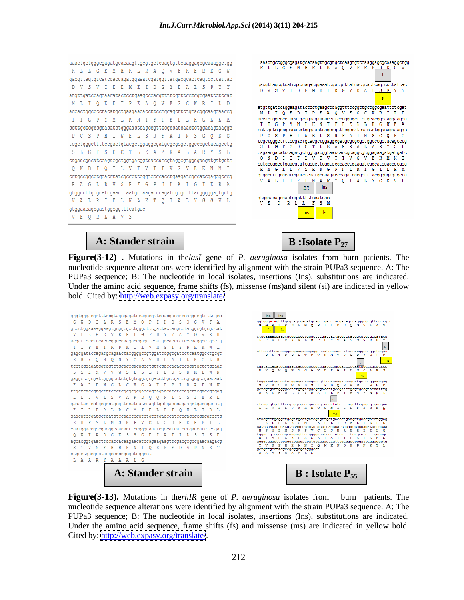

**Figure(3-12) .** Mutations in the*lasI* gene of *P. aeruginosa* isolates from burn patients. The nucleotide sequence alterations were identified by alignment with the strain PUPa3 sequence. A: The PUPa3 sequence; B: The nucleotide in local isolates, insertions (Ins), substitutions are indicated. Under the amino acid sequence, frame shifts (fs), missense (ms)and silent (si) are indicated in yellow bold. Cited by:<http://web.expasy.org/translate/>.





**Figure(3-13).** Mutations in the*rhIR* gene of *P. aeruginosa* isolates from burn patients. The nucleotide sequence alterations were identified by alignment with the strain PUPa3 sequence. A: The PUPa3 sequence; B: The nucleotide in local isolates, insertions (Ins), substitutions are indicated. Under the amino acid sequence, frame shifts (fs) and missense (ms) are indicated in yellow bold.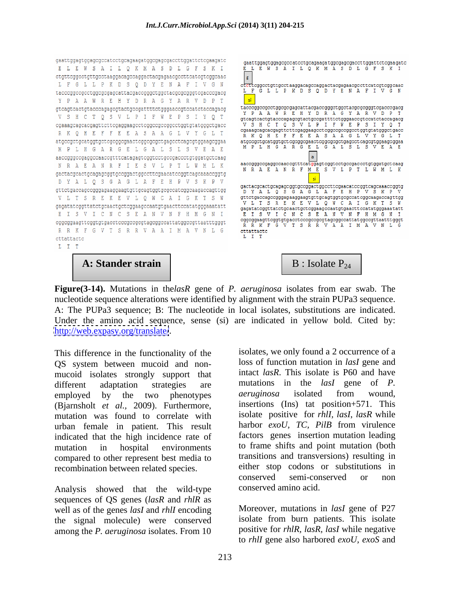

# **A: Stander strain**  $\begin{vmatrix} B & B \end{vmatrix}$  B : Isolate P<sub>24</sub>



**Figure(3-14).** Mutations in the*lasR* gene of *P. aeruginosa* isolates from ear swab. The nucleotide sequence alterations were identified by alignment with the strain PUPa3 sequence. A: The PUPa3 sequence; B: The nucleotide in local isolates, substitutions are indicated. Under the amino acid sequence, sense (si) are indicated in yellow bold. Cited by: <http://web.expasy.org/translate/>.

This difference in the functionality of the QS system between mucoid and non mucoid isolates strongly support that intact *lasR*. This isolate is P60 and have different adaptation strategies are mutations in the *lasI* gene of *P*. different adaptation strategies are mutations in the *lasl* gene of *P*. employed by the two phenotypes *aeruginosa* isolated from wound, (Bjarnsholt *et al.,* 2009). Furthermore, mutation was found to correlate with urban female in patient. This result indicated that the high incidence rate of mutation in hospital environments to frame shifts and point mutation (both compared to other represent best media to

Analysis showed that the wild-type sequences of QS genes (*lasR* and *rhlR* as well as of the genes *lasI* and *rhlI* encoding the signal molecule) were conserved among the *P. aeruginosa* isolates. From 10

recombination between related species. The either stop codons or sub<br>conserved semi-conserved isolates, we only found a 2 occurrence of a loss of function mutation in *lasI* gene and intact *lasR*. This isolate is P60 and have mutations in the *lasI* gene of *P. aeruginosa* isolated from wound, insertions (Ins) tat position+571. This isolate positive for *rhlI, lasI*, *lasR* while harbor *exoU, TC, PilB* from virulence factors genes insertion mutation leading transitions and transversions) resulting in either stop codons or substitutions in conserved semi-conserved or non conserved amino acid.

> Moreover, mutations in *lasI* gene of P27 isolate from burn patients. This isolate positive for *rhlR, lasR, lasI* while negative to *rhlI* gene also harbored *exoU, exoS* and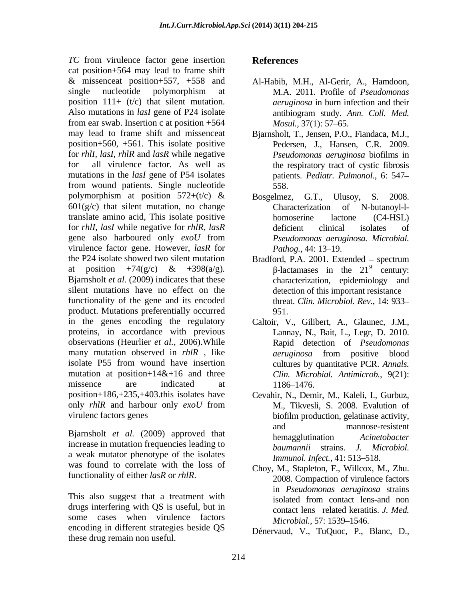*TC* from virulence factor gene insertion **References** cat position+564 may lead to frame shift & missenceat position+557, +558 and single nucleotide polymorphism at M.A. 2011. Profile of *Pseudomonas* position  $111+$  (t/c) that silent mutation. Also mutations in *lasI* gene of P24 isolate antibiogram study. Ann. Coll. Med. from ear swab. Insertion c at position +564 *Mosul.*, 37(1): 57–65. may lead to frame shift and missenceat Bjarnsholt, T., Jensen, P.O., Fiandaca, M.J., position+560, +561. This isolate positive for *rhlI, lasI, rhlR* and *lasR* while negative *Pseudomonas aeruginosa* biofilms in for all virulence factor. As well as the respiratory tract of cystic fibrosis mutations in the *lasI* gene of P54 isolates from wound patients. Single nucleotide polymorphism at position  $572+(t/c)$  & Bosgelmez, G.T., Ulusov, S. 2008.  $601(g/c)$  that silent mutation, no change Characterization of N-butanoyl-ltranslate amino acid, This isolate positive for *rhlI, lasI* while negative for *rhlR, lasR* gene also harboured only *exoU* from virulence factor gene. However, *lasR* for the P24 isolate showed two silent mutation Bradford, P.A. 2001. Extended – spectrum at position +74(g/c) & +398(a/g).  $\beta$ -lactamases in the 21<sup>st</sup> century: Bjarnsholt *et al.* (2009) indicates that these silent mutations have no effect on the functionality of the gene and its encoded product. Mutations preferentially occurred in the genes encoding the regulatory Caltoir, V., Gilibert, A., Glaunec, J.M., proteins, in accordance with previous observations (Heurlier *et al.,* 2006).While many mutation observed in *rhlR*, like *aeruginosa* from positive blood isolate P55 from wound have insertion mutation at position+ $14&6$  and three missence are indicated at 1186–1476. position+186,+235,+403.this isolates have Cevahir, N., Demir, M., Kaleli, I., Gurbuz, only *rhlR* and harbour only *exoU* from TC from virtuality the product process in exciter generation of the season points of the season points of the season points of the season points of the season points of the season points of the season points and the seaso

increase in mutation frequencies leading to baumannii strains. J. Microbiol. a weak mutator phenotype of the isolates was found to correlate with the loss of functionality of either *lasR* or *rhlR*.

This also suggest that a treatment with isolated from contact lens-and non drugs interfering with QS is useful, but in some cases when virulence factors encoding in different strategies beside QS

- Al-Habib, M.H., Al-Gerir, A., Hamdoon, M.A. 2011. Profile of *Pseudomonas aeruginosa* in burn infection and their antibiogram study. *Ann. Coll. Med. Mosul.,* 37(1): 57–65.
- Pedersen, J., Hansen, C.R. 2009. patients. *Pediatr. Pulmonol.,* 6: 547 558.
- Bosgelmez, G.T., Characterization of N-butanoyl-l homoserine lactone (C4-HSL) deficient clinical isolates of *Pseudomonas aeruginosa. Microbial. Pathog.,* 44: 13–19.
- Bradford, P.A. 2001. Extended spectrum  $\beta$ -lactamases in the 21<sup>st</sup> century: st century: characterization, epidemiology and detection of this important resistance threat. *Clin. Microbiol. Rev.,* 14: 933 951.
- Lannay, N., Bait, L., Legr, D. 2010. Rapid detection of *Pseudomonas aeruginosa* from positive blood cultures by quantitative PCR. *Annals. Clin. Microbial. Antimicrob.,* 9(21): 1186–1476.
- virulenc factors genes biofilm production, gelatinase activity, Bjarnsholt *et al.* (2009) approved that and mannose-resistent hemagglutination *Acinetobacter* M., Tikvesli, S. 2008. Evalution of and mannose-resistent hemagglutination *Acinetobacter*   $$ *Immunol. Infect.,* 41: 513-518.
	- Choy, M., Stapleton, F., Willcox, M., Zhu. 2008. Compaction of virulence factors in *Pseudomonas aeruginosa* strains isolated from contact lens-and non contact lens -related keratitis. *J. Med. Microbial., 57: 1539-1546.*

Dénervaud, V., TuQuoc, P., Blanc, D.,